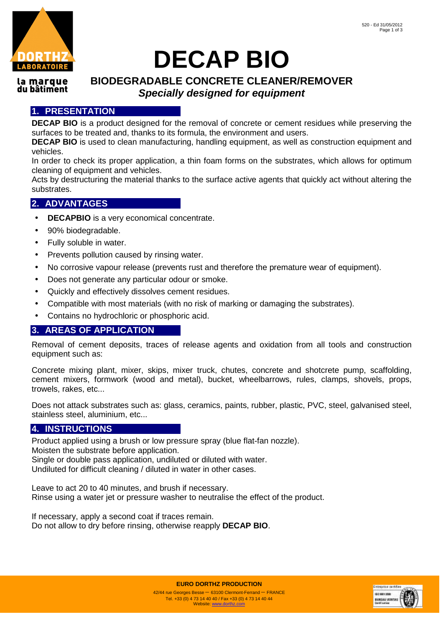

# **DECAP BIO**

#### la marque du bâtiment

## **BIODEGRADABLE CONCRETE CLEANER/REMOVER Specially designed for equipment**

#### **1. PRESENTATION**

**DECAP BIO** is a product designed for the removal of concrete or cement residues while preserving the surfaces to be treated and, thanks to its formula, the environment and users.

**DECAP BIO** is used to clean manufacturing, handling equipment, as well as construction equipment and vehicles.

In order to check its proper application, a thin foam forms on the substrates, which allows for optimum cleaning of equipment and vehicles.

Acts by destructuring the material thanks to the surface active agents that quickly act without altering the substrates.

#### **2. ADVANTAGES**

- **DECAPBIO** is a very economical concentrate.
- 90% biodegradable.
- Fully soluble in water.
- Prevents pollution caused by rinsing water.
- No corrosive vapour release (prevents rust and therefore the premature wear of equipment).
- Does not generate any particular odour or smoke.
- Quickly and effectively dissolves cement residues.
- Compatible with most materials (with no risk of marking or damaging the substrates).
- Contains no hydrochloric or phosphoric acid.

#### **3. AREAS OF APPLICATION**

Removal of cement deposits, traces of release agents and oxidation from all tools and construction equipment such as:

Concrete mixing plant, mixer, skips, mixer truck, chutes, concrete and shotcrete pump, scaffolding, cement mixers, formwork (wood and metal), bucket, wheelbarrows, rules, clamps, shovels, props, trowels, rakes, etc...

Does not attack substrates such as: glass, ceramics, paints, rubber, plastic, PVC, steel, galvanised steel, stainless steel, aluminium, etc...

#### **4. INSTRUCTIONS**

Product applied using a brush or low pressure spray (blue flat-fan nozzle). Moisten the substrate before application. Single or double pass application, undiluted or diluted with water. Undiluted for difficult cleaning / diluted in water in other cases.

Leave to act 20 to 40 minutes, and brush if necessary. Rinse using a water jet or pressure washer to neutralise the effect of the product.

If necessary, apply a second coat if traces remain. Do not allow to dry before rinsing, otherwise reapply **DECAP BIO**.



**EURO DORTHZ PRODUCTION**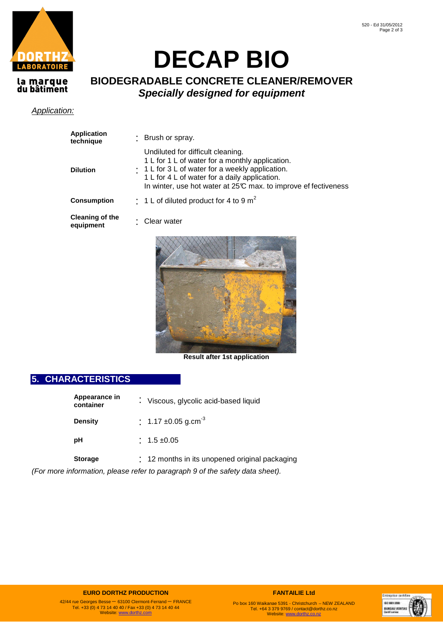

# **DECAP BIO**

# la marque<br>du bâtiment

### **BIODEGRADABLE CONCRETE CLEANER/REMOVER Specially designed for equipment**

#### Application:

| <b>Application</b><br>technique     | : Brush or spray.                                                                                                                                                                                                                                           |
|-------------------------------------|-------------------------------------------------------------------------------------------------------------------------------------------------------------------------------------------------------------------------------------------------------------|
| <b>Dilution</b>                     | Undiluted for difficult cleaning.<br>1 L for 1 L of water for a monthly application.<br>: 1 L for 3 L of water for a weekly application.<br>1 L for 4 L of water for a daily application.<br>In winter, use hot water at 25°C max. to improve effectiveness |
| <b>Consumption</b>                  | $\frac{1}{2}$ 1 L of diluted product for 4 to 9 m <sup>2</sup>                                                                                                                                                                                              |
| <b>Cleaning of the</b><br>equipment | Clear water                                                                                                                                                                                                                                                 |
|                                     |                                                                                                                                                                                                                                                             |



**Result after 1st application** 

### **5. CHARACTERISTICS**

| Appearance in<br>container | : Viscous, glycolic acid-based liquid          |
|----------------------------|------------------------------------------------|
| <b>Density</b>             | $\div$ 1.17 ±0.05 g.cm <sup>-3</sup>           |
| рH                         | $: 1.5 \pm 0.05$                               |
| <b>Storage</b>             | : 12 months in its unopened original packaging |

(For more information, please refer to paragraph 9 of the safety data sheet).

#### **EURO DORTHZ PRODUCTION**

42/44 rue Georges Besse – 63100 Clermont-Ferrand – FRANCE Tel. +33 (0) 4 73 14 40 40 / Fax +33 (0) 4 73 14 40 44 Website: www.dorthz.com

**FANTAILIE Ltd**